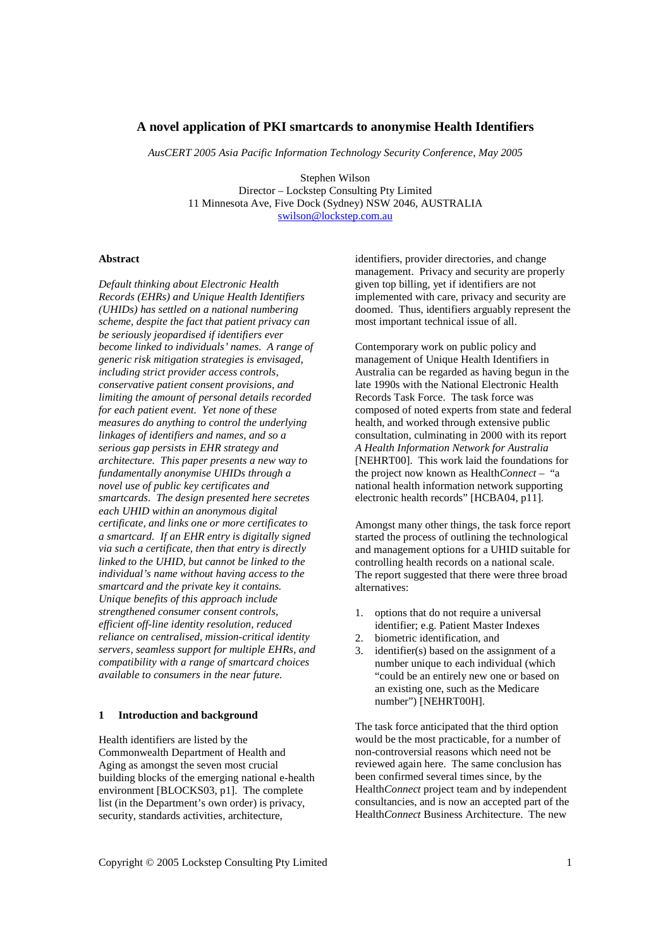# **A novel application of PKI smartcards to anonymise Health Identifiers**

*AusCERT 2005 Asia Pacific Information Technology Security Conference, May 2005* 

Stephen Wilson Director – Lockstep Consulting Pty Limited 11 Minnesota Ave, Five Dock (Sydney) NSW 2046, AUSTRALIA swilson@lockstep.com.au

### **Abstract**

*Default thinking about Electronic Health Records (EHRs) and Unique Health Identifiers (UHIDs) has settled on a national numbering scheme, despite the fact that patient privacy can be seriously jeopardised if identifiers ever become linked to individuals' names. A range of generic risk mitigation strategies is envisaged, including strict provider access controls, conservative patient consent provisions, and limiting the amount of personal details recorded for each patient event. Yet none of these measures do anything to control the underlying linkages of identifiers and names, and so a serious gap persists in EHR strategy and architecture. This paper presents a new way to fundamentally anonymise UHIDs through a novel use of public key certificates and smartcards. The design presented here secretes each UHID within an anonymous digital certificate, and links one or more certificates to a smartcard. If an EHR entry is digitally signed via such a certificate, then that entry is directly linked to the UHID, but cannot be linked to the individual's name without having access to the smartcard and the private key it contains. Unique benefits of this approach include strengthened consumer consent controls, efficient off-line identity resolution, reduced reliance on centralised, mission-critical identity servers, seamless support for multiple EHRs, and compatibility with a range of smartcard choices available to consumers in the near future.* 

## **1 Introduction and background**

Health identifiers are listed by the Commonwealth Department of Health and Aging as amongst the seven most crucial building blocks of the emerging national e-health environment [BLOCKS03, p1]. The complete list (in the Department's own order) is privacy, security, standards activities, architecture,

identifiers, provider directories, and change management. Privacy and security are properly given top billing, yet if identifiers are not implemented with care, privacy and security are doomed. Thus, identifiers arguably represent the most important technical issue of all.

Contemporary work on public policy and management of Unique Health Identifiers in Australia can be regarded as having begun in the late 1990s with the National Electronic Health Records Task Force. The task force was composed of noted experts from state and federal health, and worked through extensive public consultation, culminating in 2000 with its report *A Health Information Network for Australia* [NEHRT00]. This work laid the foundations for the project now known as Health*Connect* – "a national health information network supporting electronic health records" [HCBA04, p11].

Amongst many other things, the task force report started the process of outlining the technological and management options for a UHID suitable for controlling health records on a national scale. The report suggested that there were three broad alternatives:

- 1. options that do not require a universal identifier; e.g. Patient Master Indexes
- 2. biometric identification, and
- 3. identifier(s) based on the assignment of a number unique to each individual (which "could be an entirely new one or based on an existing one, such as the Medicare number") [NEHRT00H].

The task force anticipated that the third option would be the most practicable, for a number of non-controversial reasons which need not be reviewed again here. The same conclusion has been confirmed several times since, by the Health*Connect* project team and by independent consultancies, and is now an accepted part of the Health*Connect* Business Architecture. The new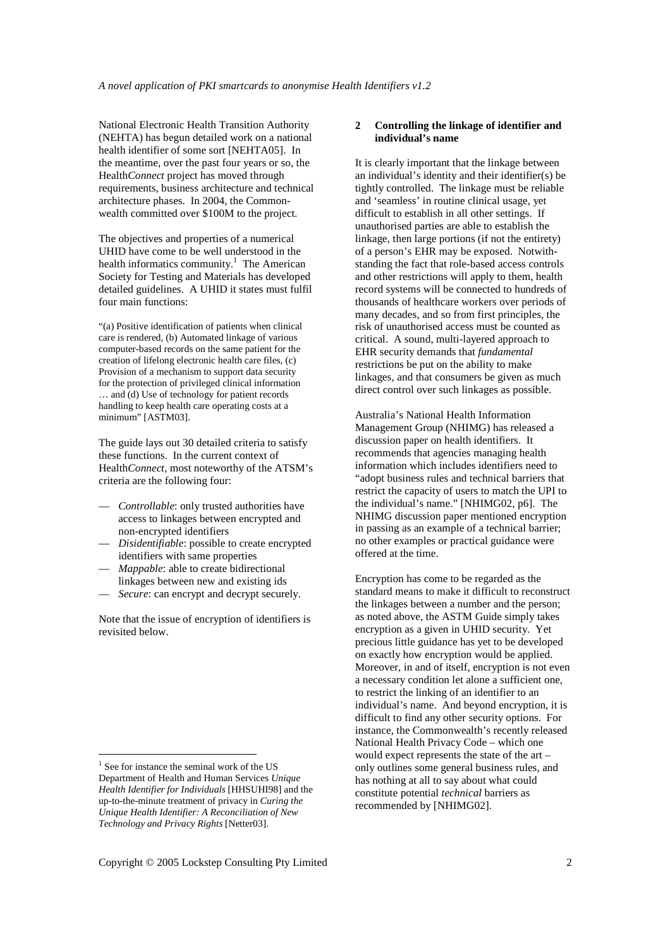National Electronic Health Transition Authority (NEHTA) has begun detailed work on a national health identifier of some sort [NEHTA05]. In the meantime, over the past four years or so, the Health*Connect* project has moved through requirements, business architecture and technical architecture phases. In 2004, the Commonwealth committed over \$100M to the project.

The objectives and properties of a numerical UHID have come to be well understood in the health informatics community.<sup>1</sup> The American Society for Testing and Materials has developed detailed guidelines. A UHID it states must fulfil four main functions:

"(a) Positive identification of patients when clinical care is rendered, (b) Automated linkage of various computer-based records on the same patient for the creation of lifelong electronic health care files, (c) Provision of a mechanism to support data security for the protection of privileged clinical information … and (d) Use of technology for patient records handling to keep health care operating costs at a minimum" [ASTM03].

The guide lays out 30 detailed criteria to satisfy these functions. In the current context of Health*Connect*, most noteworthy of the ATSM's criteria are the following four:

- *Controllable*: only trusted authorities have access to linkages between encrypted and non-encrypted identifiers
- *Disidentifiable*: possible to create encrypted identifiers with same properties
- *Mappable*: able to create bidirectional linkages between new and existing ids
- Secure: can encrypt and decrypt securely.

Note that the issue of encryption of identifiers is revisited below.

 $\overline{a}$ 

## **2 Controlling the linkage of identifier and individual's name**

It is clearly important that the linkage between an individual's identity and their identifier(s) be tightly controlled. The linkage must be reliable and 'seamless' in routine clinical usage, yet difficult to establish in all other settings. If unauthorised parties are able to establish the linkage, then large portions (if not the entirety) of a person's EHR may be exposed. Notwithstanding the fact that role-based access controls and other restrictions will apply to them, health record systems will be connected to hundreds of thousands of healthcare workers over periods of many decades, and so from first principles, the risk of unauthorised access must be counted as critical. A sound, multi-layered approach to EHR security demands that *fundamental* restrictions be put on the ability to make linkages, and that consumers be given as much direct control over such linkages as possible.

Australia's National Health Information Management Group (NHIMG) has released a discussion paper on health identifiers. It recommends that agencies managing health information which includes identifiers need to "adopt business rules and technical barriers that restrict the capacity of users to match the UPI to the individual's name." [NHIMG02, p6]. The NHIMG discussion paper mentioned encryption in passing as an example of a technical barrier; no other examples or practical guidance were offered at the time.

Encryption has come to be regarded as the standard means to make it difficult to reconstruct the linkages between a number and the person; as noted above, the ASTM Guide simply takes encryption as a given in UHID security. Yet precious little guidance has yet to be developed on exactly how encryption would be applied. Moreover, in and of itself, encryption is not even a necessary condition let alone a sufficient one, to restrict the linking of an identifier to an individual's name. And beyond encryption, it is difficult to find any other security options. For instance, the Commonwealth's recently released National Health Privacy Code – which one would expect represents the state of the art – only outlines some general business rules, and has nothing at all to say about what could constitute potential *technical* barriers as recommended by [NHIMG02].

<sup>&</sup>lt;sup>1</sup> See for instance the seminal work of the US Department of Health and Human Services *Unique Health Identifier for Individuals* [HHSUHI98] and the up-to-the-minute treatment of privacy in *Curing the Unique Health Identifier: A Reconciliation of New Technology and Privacy Rights* [Netter03].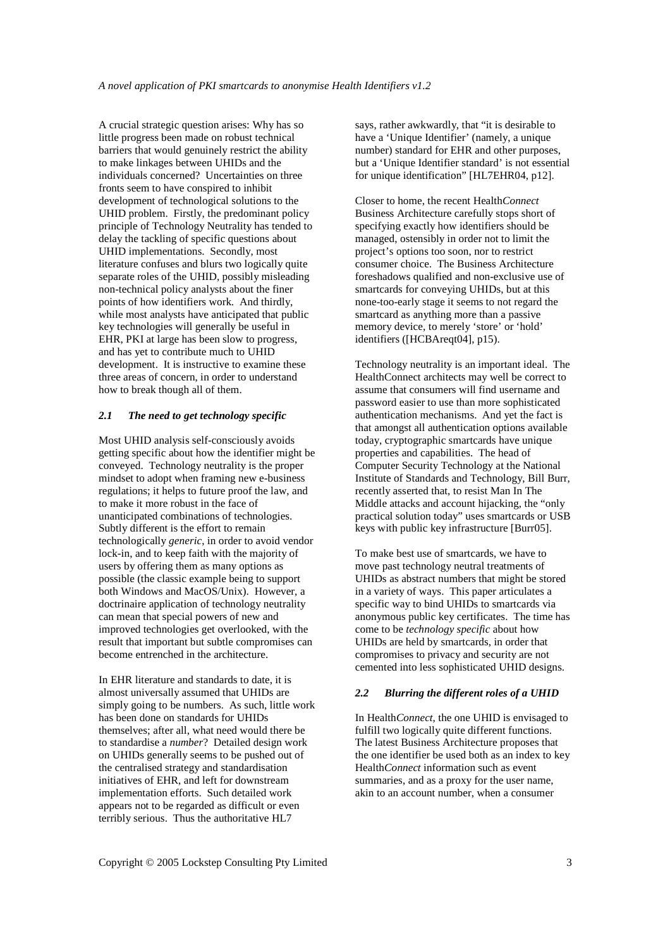A crucial strategic question arises: Why has so little progress been made on robust technical barriers that would genuinely restrict the ability to make linkages between UHIDs and the individuals concerned? Uncertainties on three fronts seem to have conspired to inhibit development of technological solutions to the UHID problem. Firstly, the predominant policy principle of Technology Neutrality has tended to delay the tackling of specific questions about UHID implementations. Secondly, most literature confuses and blurs two logically quite separate roles of the UHID, possibly misleading non-technical policy analysts about the finer points of how identifiers work. And thirdly, while most analysts have anticipated that public key technologies will generally be useful in EHR, PKI at large has been slow to progress, and has yet to contribute much to UHID development. It is instructive to examine these three areas of concern, in order to understand how to break though all of them.

# *2.1 The need to get technology specific*

Most UHID analysis self-consciously avoids getting specific about how the identifier might be conveyed. Technology neutrality is the proper mindset to adopt when framing new e-business regulations; it helps to future proof the law, and to make it more robust in the face of unanticipated combinations of technologies. Subtly different is the effort to remain technologically *generic*, in order to avoid vendor lock-in, and to keep faith with the majority of users by offering them as many options as possible (the classic example being to support both Windows and MacOS/Unix). However, a doctrinaire application of technology neutrality can mean that special powers of new and improved technologies get overlooked, with the result that important but subtle compromises can become entrenched in the architecture.

In EHR literature and standards to date, it is almost universally assumed that UHIDs are simply going to be numbers. As such, little work has been done on standards for UHIDs themselves; after all, what need would there be to standardise a *number*? Detailed design work on UHIDs generally seems to be pushed out of the centralised strategy and standardisation initiatives of EHR, and left for downstream implementation efforts. Such detailed work appears not to be regarded as difficult or even terribly serious. Thus the authoritative HL7

says, rather awkwardly, that "it is desirable to have a 'Unique Identifier' (namely, a unique number) standard for EHR and other purposes, but a 'Unique Identifier standard' is not essential for unique identification" [HL7EHR04, p12].

Closer to home, the recent Health*Connect* Business Architecture carefully stops short of specifying exactly how identifiers should be managed, ostensibly in order not to limit the project's options too soon, nor to restrict consumer choice. The Business Architecture foreshadows qualified and non-exclusive use of smartcards for conveying UHIDs, but at this none-too-early stage it seems to not regard the smartcard as anything more than a passive memory device, to merely 'store' or 'hold' identifiers ([HCBAreqt04], p15).

Technology neutrality is an important ideal. The HealthConnect architects may well be correct to assume that consumers will find username and password easier to use than more sophisticated authentication mechanisms. And yet the fact is that amongst all authentication options available today, cryptographic smartcards have unique properties and capabilities. The head of Computer Security Technology at the National Institute of Standards and Technology, Bill Burr, recently asserted that, to resist Man In The Middle attacks and account hijacking, the "only practical solution today" uses smartcards or USB keys with public key infrastructure [Burr05].

To make best use of smartcards, we have to move past technology neutral treatments of UHIDs as abstract numbers that might be stored in a variety of ways. This paper articulates a specific way to bind UHIDs to smartcards via anonymous public key certificates. The time has come to be *technology specific* about how UHIDs are held by smartcards, in order that compromises to privacy and security are not cemented into less sophisticated UHID designs.

### *2.2 Blurring the different roles of a UHID*

In Health*Connect*, the one UHID is envisaged to fulfill two logically quite different functions. The latest Business Architecture proposes that the one identifier be used both as an index to key Health*Connect* information such as event summaries, and as a proxy for the user name, akin to an account number, when a consumer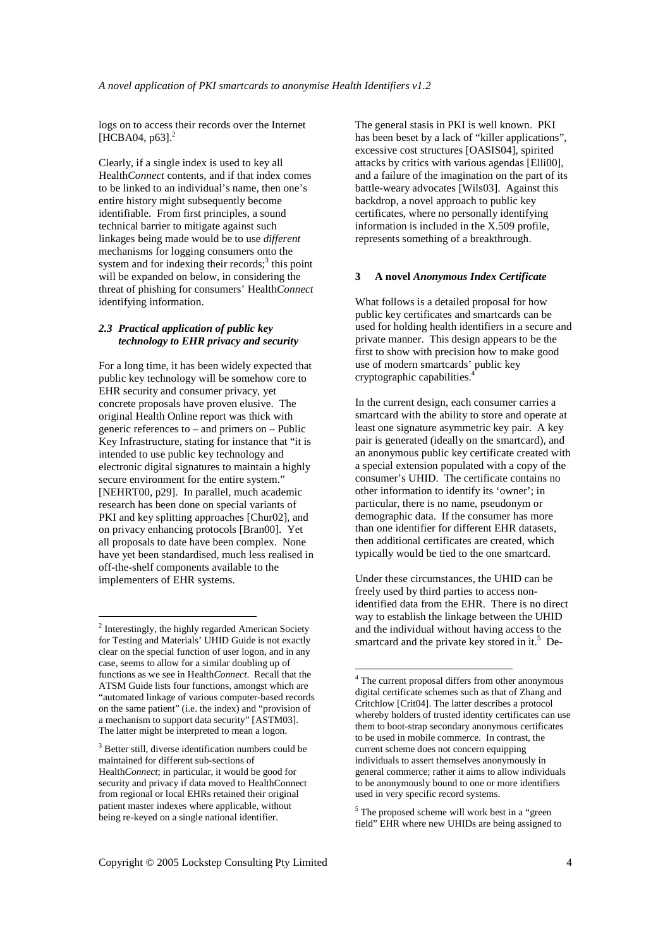logs on to access their records over the Internet [HCBA04, p63].<sup>2</sup>

Clearly, if a single index is used to key all Health*Connect* contents, and if that index comes to be linked to an individual's name, then one's entire history might subsequently become identifiable. From first principles, a sound technical barrier to mitigate against such linkages being made would be to use *different* mechanisms for logging consumers onto the system and for indexing their records; $3$  this point will be expanded on below, in considering the threat of phishing for consumers' Health*Connect* identifying information.

# *2.3 Practical application of public key technology to EHR privacy and security*

For a long time, it has been widely expected that public key technology will be somehow core to EHR security and consumer privacy, yet concrete proposals have proven elusive. The original Health Online report was thick with generic references to – and primers on – Public Key Infrastructure, stating for instance that "it is intended to use public key technology and electronic digital signatures to maintain a highly secure environment for the entire system." [NEHRT00, p29]. In parallel, much academic research has been done on special variants of PKI and key splitting approaches [Chur02], and on privacy enhancing protocols [Bran00]. Yet all proposals to date have been complex. None have yet been standardised, much less realised in off-the-shelf components available to the implementers of EHR systems.

 $\overline{a}$ 

The general stasis in PKI is well known. PKI has been beset by a lack of "killer applications", excessive cost structures [OASIS04], spirited attacks by critics with various agendas [Elli00], and a failure of the imagination on the part of its battle-weary advocates [Wils03]. Against this backdrop, a novel approach to public key certificates, where no personally identifying information is included in the X.509 profile, represents something of a breakthrough.

#### **3 A novel** *Anonymous Index Certificate*

What follows is a detailed proposal for how public key certificates and smartcards can be used for holding health identifiers in a secure and private manner. This design appears to be the first to show with precision how to make good use of modern smartcards' public key cryptographic capabilities.<sup>4</sup>

In the current design, each consumer carries a smartcard with the ability to store and operate at least one signature asymmetric key pair. A key pair is generated (ideally on the smartcard), and an anonymous public key certificate created with a special extension populated with a copy of the consumer's UHID. The certificate contains no other information to identify its 'owner'; in particular, there is no name, pseudonym or demographic data. If the consumer has more than one identifier for different EHR datasets, then additional certificates are created, which typically would be tied to the one smartcard.

Under these circumstances, the UHID can be freely used by third parties to access nonidentified data from the EHR. There is no direct way to establish the linkage between the UHID and the individual without having access to the smartcard and the private key stored in it.<sup>5</sup> De-

l

<sup>5</sup> The proposed scheme will work best in a "green field" EHR where new UHIDs are being assigned to

<sup>&</sup>lt;sup>2</sup> Interestingly, the highly regarded American Society for Testing and Materials' UHID Guide is not exactly clear on the special function of user logon, and in any case, seems to allow for a similar doubling up of functions as we see in Health*Connect*. Recall that the ATSM Guide lists four functions, amongst which are "automated linkage of various computer-based records on the same patient" (i.e. the index) and "provision of a mechanism to support data security" [ASTM03]. The latter might be interpreted to mean a logon.

<sup>&</sup>lt;sup>3</sup> Better still, diverse identification numbers could be maintained for different sub-sections of Health*Connect*; in particular, it would be good for security and privacy if data moved to HealthConnect from regional or local EHRs retained their original patient master indexes where applicable, without being re-keyed on a single national identifier.

<sup>&</sup>lt;sup>4</sup> The current proposal differs from other anonymous digital certificate schemes such as that of Zhang and Critchlow [Crit04]. The latter describes a protocol whereby holders of trusted identity certificates can use them to boot-strap secondary anonymous certificates to be used in mobile commerce. In contrast, the current scheme does not concern equipping individuals to assert themselves anonymously in general commerce; rather it aims to allow individuals to be anonymously bound to one or more identifiers used in very specific record systems.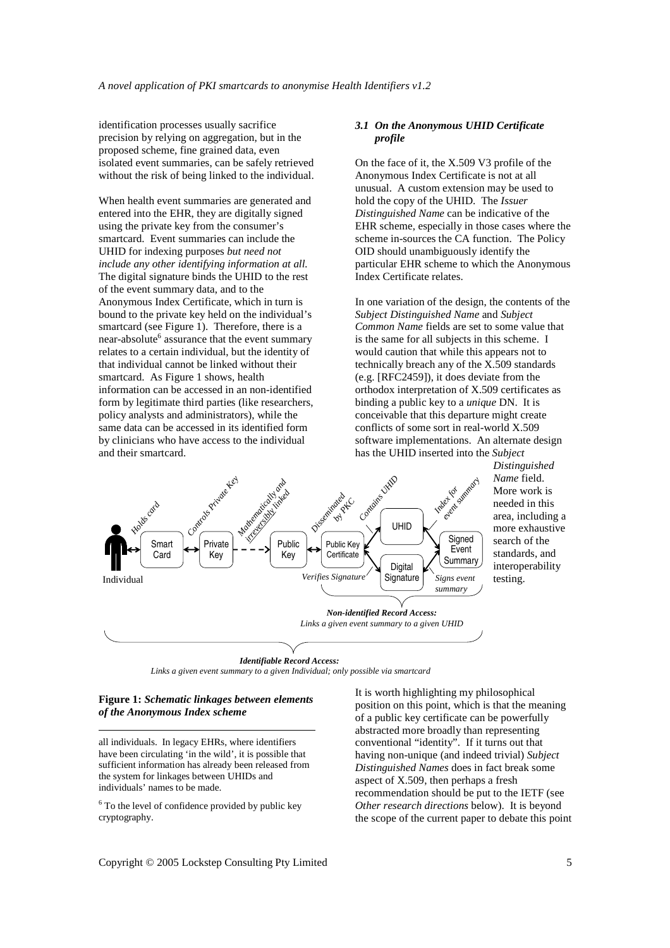identification processes usually sacrifice precision by relying on aggregation, but in the proposed scheme, fine grained data, even isolated event summaries, can be safely retrieved without the risk of being linked to the individual.

When health event summaries are generated and entered into the EHR, they are digitally signed using the private key from the consumer's smartcard. Event summaries can include the UHID for indexing purposes *but need not include any other identifying information at all.*  The digital signature binds the UHID to the rest of the event summary data, and to the Anonymous Index Certificate, which in turn is bound to the private key held on the individual's smartcard (see Figure 1). Therefore, there is a near-absolute<sup>6</sup> assurance that the event summary relates to a certain individual, but the identity of that individual cannot be linked without their smartcard. As Figure 1 shows, health information can be accessed in an non-identified form by legitimate third parties (like researchers, policy analysts and administrators), while the same data can be accessed in its identified form by clinicians who have access to the individual and their smartcard.

## *3.1 On the Anonymous UHID Certificate profile*

On the face of it, the X.509 V3 profile of the Anonymous Index Certificate is not at all unusual. A custom extension may be used to hold the copy of the UHID. The *Issuer Distinguished Name* can be indicative of the EHR scheme, especially in those cases where the scheme in-sources the CA function. The Policy OID should unambiguously identify the particular EHR scheme to which the Anonymous Index Certificate relates.

In one variation of the design, the contents of the *Subject Distinguished Name* and *Subject Common Name* fields are set to some value that is the same for all subjects in this scheme. I would caution that while this appears not to technically breach any of the  $X.509$  standards (e.g. [RFC2459]), it does deviate from the orthodox interpretation of X.509 certificates as binding a public key to a *unique* DN. It is conceivable that this departure might create conflicts of some sort in real-world X.509 software implementations. An alternate design has the UHID inserted into the *Subject* 



*Distinguished Name* field. More work is needed in this area, including a more exhaustive search of the standards, and interoperability testing.

#### *Identifiable Record Access:*

*Links a given event summary to a given Individual; only possible via smartcard*

### **Figure 1:** *Schematic linkages between elements of the Anonymous Index scheme*

 $\overline{a}$ 

all individuals. In legacy EHRs, where identifiers have been circulating 'in the wild', it is possible that sufficient information has already been released from the system for linkages between UHIDs and individuals' names to be made.

<sup>6</sup> To the level of confidence provided by public key cryptography.

It is worth highlighting my philosophical position on this point, which is that the meaning of a public key certificate can be powerfully abstracted more broadly than representing conventional "identity". If it turns out that having non-unique (and indeed trivial) *Subject Distinguished Names* does in fact break some aspect of X.509, then perhaps a fresh recommendation should be put to the IETF (see *Other research directions* below). It is beyond the scope of the current paper to debate this point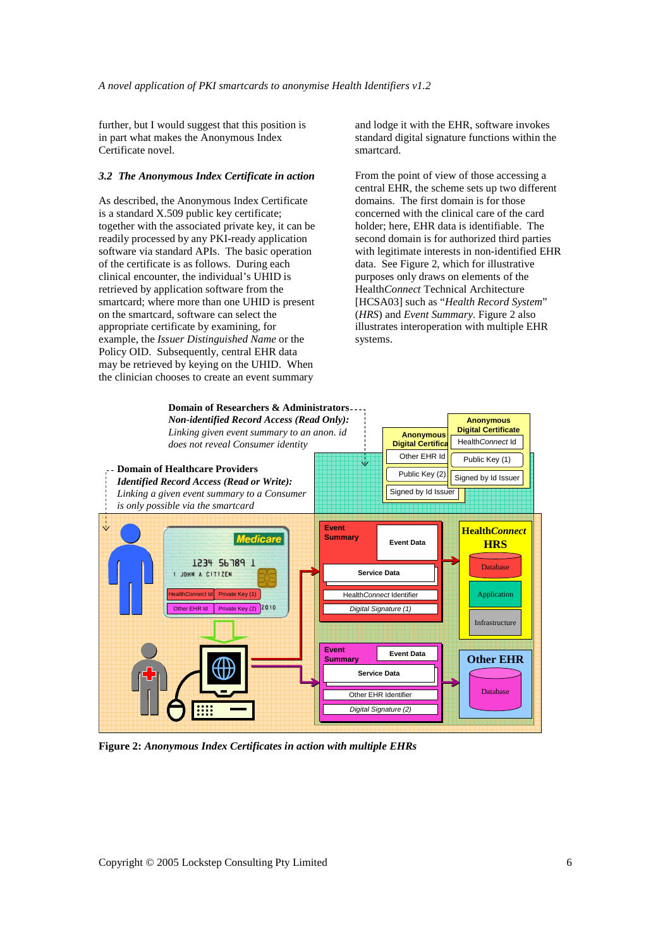further, but I would suggest that this position is in part what makes the Anonymous Index Certificate novel.

#### *3.2 The Anonymous Index Certificate in action*

As described, the Anonymous Index Certificate is a standard X.509 public key certificate; together with the associated private key, it can be readily processed by any PKI-ready application software via standard APIs. The basic operation of the certificate is as follows. During each clinical encounter, the individual's UHID is retrieved by application software from the smartcard; where more than one UHID is present on the smartcard, software can select the appropriate certificate by examining, for example, the *Issuer Distinguished Name* or the Policy OID. Subsequently, central EHR data may be retrieved by keying on the UHID. When the clinician chooses to create an event summary

and lodge it with the EHR, software invokes standard digital signature functions within the smartcard.

From the point of view of those accessing a central EHR, the scheme sets up two different domains. The first domain is for those concerned with the clinical care of the card holder; here, EHR data is identifiable. The second domain is for authorized third parties with legitimate interests in non-identified EHR data. See Figure 2, which for illustrative purposes only draws on elements of the Health*Connect* Technical Architecture [HCSA03] such as "*Health Record System*" (*HRS*) and *Event Summary*. Figure 2 also illustrates interoperation with multiple EHR systems.



**Figure 2:** *Anonymous Index Certificates in action with multiple EHRs*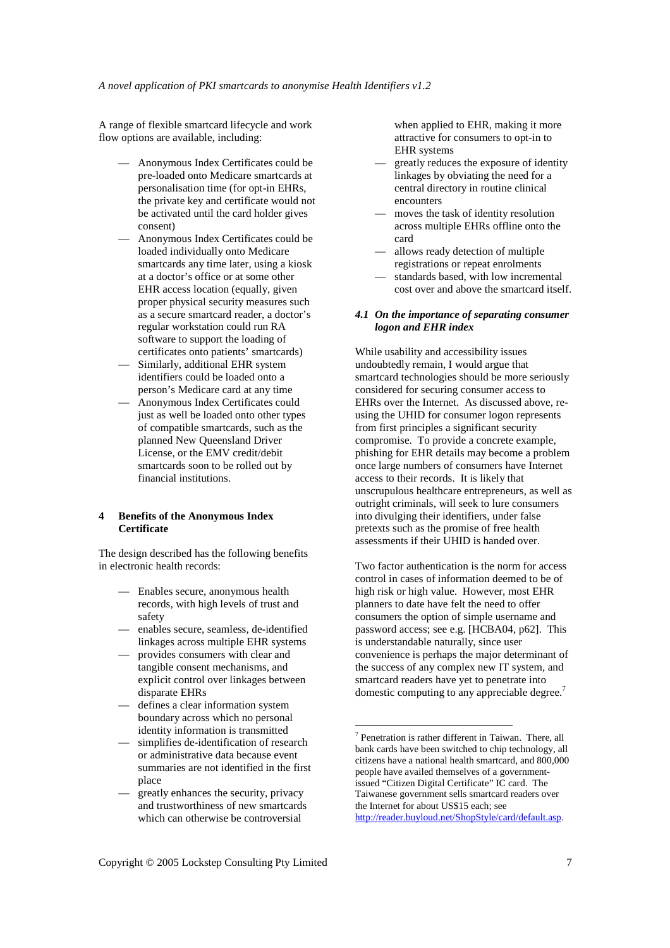A range of flexible smartcard lifecycle and work flow options are available, including:

- Anonymous Index Certificates could be pre-loaded onto Medicare smartcards at personalisation time (for opt-in EHRs, the private key and certificate would not be activated until the card holder gives consent)
- Anonymous Index Certificates could be loaded individually onto Medicare smartcards any time later, using a kiosk at a doctor's office or at some other EHR access location (equally, given proper physical security measures such as a secure smartcard reader, a doctor's regular workstation could run RA software to support the loading of certificates onto patients' smartcards)
- Similarly, additional EHR system identifiers could be loaded onto a person's Medicare card at any time
- Anonymous Index Certificates could just as well be loaded onto other types of compatible smartcards, such as the planned New Queensland Driver License, or the EMV credit/debit smartcards soon to be rolled out by financial institutions.

## **4 Benefits of the Anonymous Index Certificate**

The design described has the following benefits in electronic health records:

- Enables secure, anonymous health records, with high levels of trust and safety
- enables secure, seamless, de-identified linkages across multiple EHR systems
- provides consumers with clear and tangible consent mechanisms, and explicit control over linkages between disparate EHRs
- defines a clear information system boundary across which no personal identity information is transmitted
- simplifies de-identification of research or administrative data because event summaries are not identified in the first place
- greatly enhances the security, privacy and trustworthiness of new smartcards which can otherwise be controversial

when applied to EHR, making it more attractive for consumers to opt-in to EHR systems

- greatly reduces the exposure of identity linkages by obviating the need for a central directory in routine clinical encounters
- moves the task of identity resolution across multiple EHRs offline onto the card
- allows ready detection of multiple registrations or repeat enrolments
- standards based, with low incremental cost over and above the smartcard itself.

## *4.1 On the importance of separating consumer logon and EHR index*

While usability and accessibility issues undoubtedly remain, I would argue that smartcard technologies should be more seriously considered for securing consumer access to EHRs over the Internet. As discussed above, reusing the UHID for consumer logon represents from first principles a significant security compromise. To provide a concrete example, phishing for EHR details may become a problem once large numbers of consumers have Internet access to their records. It is likely that unscrupulous healthcare entrepreneurs, as well as outright criminals, will seek to lure consumers into divulging their identifiers, under false pretexts such as the promise of free health assessments if their UHID is handed over.

Two factor authentication is the norm for access control in cases of information deemed to be of high risk or high value. However, most EHR planners to date have felt the need to offer consumers the option of simple username and password access; see e.g. [HCBA04, p62]. This is understandable naturally, since user convenience is perhaps the major determinant of the success of any complex new IT system, and smartcard readers have yet to penetrate into domestic computing to any appreciable degree.<sup>7</sup>

l

<sup>7</sup> Penetration is rather different in Taiwan. There, all bank cards have been switched to chip technology, all citizens have a national health smartcard, and 800,000 people have availed themselves of a governmentissued "Citizen Digital Certificate" IC card. The Taiwanese government sells smartcard readers over the Internet for about US\$15 each; see http://reader.buyloud.net/ShopStyle/card/default.asp.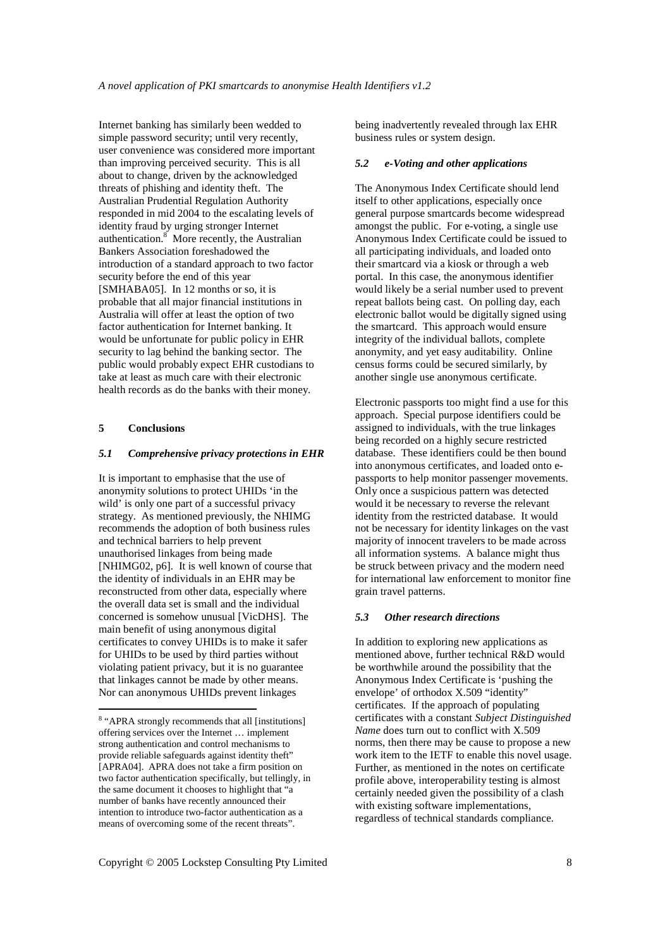Internet banking has similarly been wedded to simple password security; until very recently, user convenience was considered more important than improving perceived security. This is all about to change, driven by the acknowledged threats of phishing and identity theft. The Australian Prudential Regulation Authority responded in mid 2004 to the escalating levels of identity fraud by urging stronger Internet authentication.<sup>8</sup> More recently, the Australian Bankers Association foreshadowed the introduction of a standard approach to two factor security before the end of this year [SMHABA05]. In 12 months or so, it is probable that all major financial institutions in Australia will offer at least the option of two factor authentication for Internet banking. It would be unfortunate for public policy in EHR security to lag behind the banking sector. The public would probably expect EHR custodians to take at least as much care with their electronic health records as do the banks with their money.

## **5 Conclusions**

 $\overline{a}$ 

# *5.1 Comprehensive privacy protections in EHR*

It is important to emphasise that the use of anonymity solutions to protect UHIDs 'in the wild' is only one part of a successful privacy strategy. As mentioned previously, the NHIMG recommends the adoption of both business rules and technical barriers to help prevent unauthorised linkages from being made [NHIMG02, p6]. It is well known of course that the identity of individuals in an EHR may be reconstructed from other data, especially where the overall data set is small and the individual concerned is somehow unusual [VicDHS]. The main benefit of using anonymous digital certificates to convey UHIDs is to make it safer for UHIDs to be used by third parties without violating patient privacy, but it is no guarantee that linkages cannot be made by other means. Nor can anonymous UHIDs prevent linkages

being inadvertently revealed through lax EHR business rules or system design.

#### *5.2 e-Voting and other applications*

The Anonymous Index Certificate should lend itself to other applications, especially once general purpose smartcards become widespread amongst the public. For e-voting, a single use Anonymous Index Certificate could be issued to all participating individuals, and loaded onto their smartcard via a kiosk or through a web portal. In this case, the anonymous identifier would likely be a serial number used to prevent repeat ballots being cast. On polling day, each electronic ballot would be digitally signed using the smartcard. This approach would ensure integrity of the individual ballots, complete anonymity, and yet easy auditability. Online census forms could be secured similarly, by another single use anonymous certificate.

Electronic passports too might find a use for this approach. Special purpose identifiers could be assigned to individuals, with the true linkages being recorded on a highly secure restricted database. These identifiers could be then bound into anonymous certificates, and loaded onto epassports to help monitor passenger movements. Only once a suspicious pattern was detected would it be necessary to reverse the relevant identity from the restricted database. It would not be necessary for identity linkages on the vast majority of innocent travelers to be made across all information systems. A balance might thus be struck between privacy and the modern need for international law enforcement to monitor fine grain travel patterns.

#### *5.3 Other research directions*

In addition to exploring new applications as mentioned above, further technical R&D would be worthwhile around the possibility that the Anonymous Index Certificate is 'pushing the envelope' of orthodox X.509 "identity" certificates. If the approach of populating certificates with a constant *Subject Distinguished Name* does turn out to conflict with X.509 norms, then there may be cause to propose a new work item to the IETF to enable this novel usage. Further, as mentioned in the notes on certificate profile above, interoperability testing is almost certainly needed given the possibility of a clash with existing software implementations, regardless of technical standards compliance.

<sup>&</sup>lt;sup>8</sup> "APRA strongly recommends that all [institutions] offering services over the Internet … implement strong authentication and control mechanisms to provide reliable safeguards against identity theft" [APRA04]. APRA does not take a firm position on two factor authentication specifically, but tellingly, in the same document it chooses to highlight that "a number of banks have recently announced their intention to introduce two-factor authentication as a means of overcoming some of the recent threats".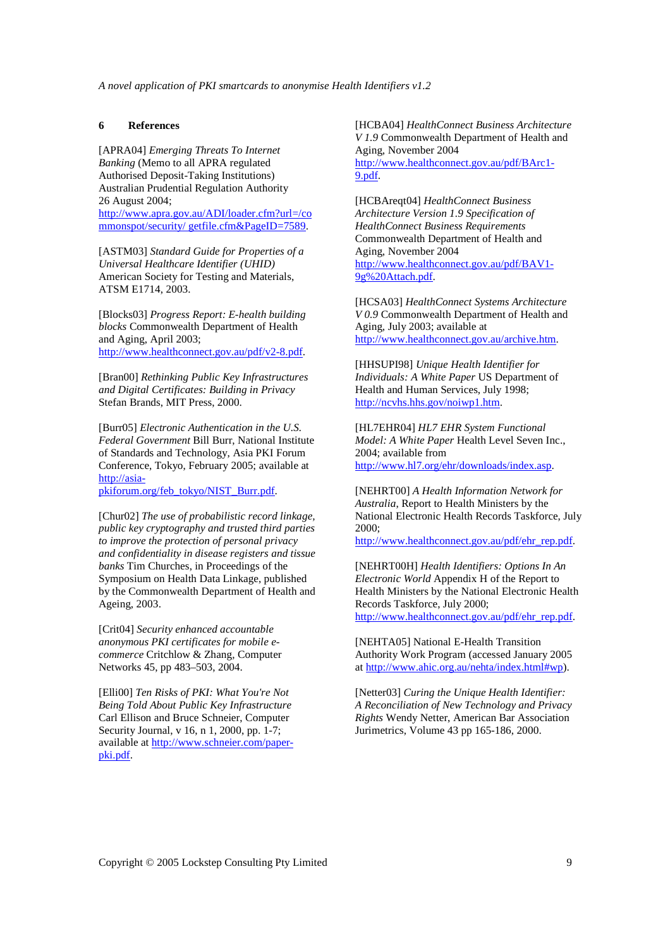*A novel application of PKI smartcards to anonymise Health Identifiers v1.2*

#### **6 References**

[APRA04] *Emerging Threats To Internet Banking* (Memo to all APRA regulated Authorised Deposit-Taking Institutions) Australian Prudential Regulation Authority 26 August 2004; http://www.apra.gov.au/ADI/loader.cfm?url=/co mmonspot/security/ getfile.cfm&PageID=7589.

[ASTM03] *Standard Guide for Properties of a Universal Healthcare Identifier (UHID)* American Society for Testing and Materials, ATSM E1714, 2003.

[Blocks03] *Progress Report: E-health building blocks* Commonwealth Department of Health and Aging, April 2003; http://www.healthconnect.gov.au/pdf/v2-8.pdf.

[Bran00] *Rethinking Public Key Infrastructures and Digital Certificates: Building in Privacy*  Stefan Brands, MIT Press, 2000.

[Burr05] *Electronic Authentication in the U.S. Federal Government* Bill Burr, National Institute of Standards and Technology, Asia PKI Forum Conference, Tokyo, February 2005; available at http://asia-

pkiforum.org/feb\_tokyo/NIST\_Burr.pdf.

[Chur02] *The use of probabilistic record linkage, public key cryptography and trusted third parties to improve the protection of personal privacy and confidentiality in disease registers and tissue banks* Tim Churches, in Proceedings of the Symposium on Health Data Linkage, published by the Commonwealth Department of Health and Ageing, 2003.

[Crit04] *Security enhanced accountable anonymous PKI certificates for mobile ecommerce* Critchlow & Zhang, Computer Networks 45, pp 483–503, 2004.

[Elli00] *Ten Risks of PKI: What You're Not Being Told About Public Key Infrastructure* Carl Ellison and Bruce Schneier, Computer Security Journal, v 16, n 1, 2000, pp. 1-7; available at http://www.schneier.com/paperpki.pdf.

[HCBA04] *HealthConnect Business Architecture V 1.9* Commonwealth Department of Health and Aging, November 2004 http://www.healthconnect.gov.au/pdf/BArc1- 9.pdf.

[HCBAreqt04] *HealthConnect Business Architecture Version 1.9 Specification of HealthConnect Business Requirements* Commonwealth Department of Health and Aging, November 2004 http://www.healthconnect.gov.au/pdf/BAV1- 9g%20Attach.pdf.

[HCSA03] *HealthConnect Systems Architecture V 0.9* Commonwealth Department of Health and Aging, July 2003; available at http://www.healthconnect.gov.au/archive.htm.

[HHSUPI98] *Unique Health Identifier for Individuals: A White Paper* US Department of Health and Human Services, July 1998; http://ncvhs.hhs.gov/noiwp1.htm.

[HL7EHR04] *HL7 EHR System Functional Model: A White Paper* Health Level Seven Inc., 2004; available from http://www.hl7.org/ehr/downloads/index.asp.

[NEHRT00] *A Health Information Network for Australia*, Report to Health Ministers by the National Electronic Health Records Taskforce, July 2000;

http://www.healthconnect.gov.au/pdf/ehr\_rep.pdf.

[NEHRT00H] *Health Identifiers: Options In An Electronic World* Appendix H of the Report to Health Ministers by the National Electronic Health Records Taskforce, July 2000; http://www.healthconnect.gov.au/pdf/ehr\_rep.pdf.

[NEHTA05] National E-Health Transition Authority Work Program (accessed January 2005 at http://www.ahic.org.au/nehta/index.html#wp).

[Netter03] *Curing the Unique Health Identifier: A Reconciliation of New Technology and Privacy Rights* Wendy Netter, American Bar Association Jurimetrics, Volume 43 pp 165-186, 2000.